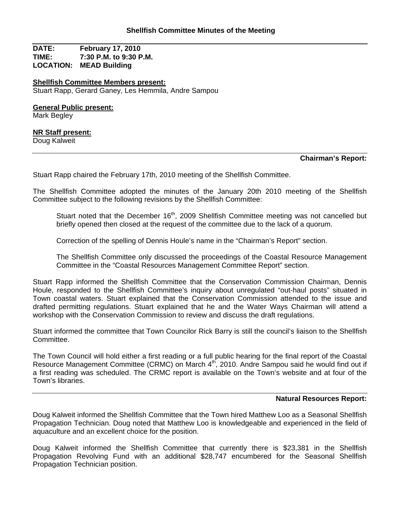**DATE: February 17, 2010 TIME: 7:30 P.M. to 9:30 P.M. LOCATION: MEAD Building**

**Shellfish Committee Members present:** Stuart Rapp, Gerard Ganey, Les Hemmila, Andre Sampou

**General Public present:** 

Mark Begley

### **NR Staff present:**

Doug Kalweit

## **Chairman's Report:**

Stuart Rapp chaired the February 17th, 2010 meeting of the Shellfish Committee.

The Shellfish Committee adopted the minutes of the January 20th 2010 meeting of the Shellfish Committee subject to the following revisions by the Shellfish Committee:

Stuart noted that the December 16<sup>th</sup>, 2009 Shellfish Committee meeting was not cancelled but briefly opened then closed at the request of the committee due to the lack of a quorum.

Correction of the spelling of Dennis Houle's name in the "Chairman's Report" section.

The Shellfish Committee only discussed the proceedings of the Coastal Resource Management Committee in the "Coastal Resources Management Committee Report" section.

Stuart Rapp informed the Shellfish Committee that the Conservation Commission Chairman, Dennis Houle, responded to the Shellfish Committee's inquiry about unregulated "out-haul posts" situated in Town coastal waters. Stuart explained that the Conservation Commission attended to the issue and drafted permitting regulations. Stuart explained that he and the Water Ways Chairman will attend a workshop with the Conservation Commission to review and discuss the draft regulations.

Stuart informed the committee that Town Councilor Rick Barry is still the council's liaison to the Shellfish Committee.

The Town Council will hold either a first reading or a full public hearing for the final report of the Coastal Resource Management Committee (CRMC) on March 4<sup>th</sup>, 2010. Andre Sampou said he would find out if a first reading was scheduled. The CRMC report is available on the Town's website and at four of the Town's libraries.

### **Natural Resources Report:**

Doug Kalweit informed the Shellfish Committee that the Town hired Matthew Loo as a Seasonal Shellfish Propagation Technician. Doug noted that Matthew Loo is knowledgeable and experienced in the field of aquaculture and an excellent choice for the position.

Doug Kalweit informed the Shellfish Committee that currently there is \$23,381 in the Shellfish Propagation Revolving Fund with an additional \$28,747 encumbered for the Seasonal Shellfish Propagation Technician position.